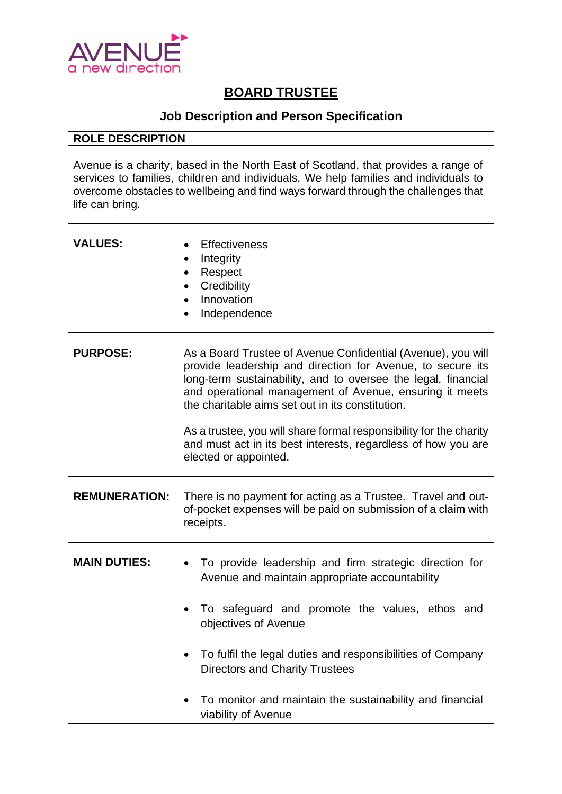

## **BOARD TRUSTEE**

## **Job Description and Person Specification**

## **ROLE DESCRIPTION**

Avenue is a charity, based in the North East of Scotland, that provides a range of services to families, children and individuals. We help families and individuals to overcome obstacles to wellbeing and find ways forward through the challenges that life can bring.

| <b>VALUES:</b>       | <b>Effectiveness</b><br>Integrity<br>Respect<br>Credibility<br>Innovation<br>$\bullet$<br>Independence                                                                                                                                                                                                                                                                                                                                                                     |
|----------------------|----------------------------------------------------------------------------------------------------------------------------------------------------------------------------------------------------------------------------------------------------------------------------------------------------------------------------------------------------------------------------------------------------------------------------------------------------------------------------|
| <b>PURPOSE:</b>      | As a Board Trustee of Avenue Confidential (Avenue), you will<br>provide leadership and direction for Avenue, to secure its<br>long-term sustainability, and to oversee the legal, financial<br>and operational management of Avenue, ensuring it meets<br>the charitable aims set out in its constitution.<br>As a trustee, you will share formal responsibility for the charity<br>and must act in its best interests, regardless of how you are<br>elected or appointed. |
| <b>REMUNERATION:</b> | There is no payment for acting as a Trustee. Travel and out-<br>of-pocket expenses will be paid on submission of a claim with<br>receipts.                                                                                                                                                                                                                                                                                                                                 |
| <b>MAIN DUTIES:</b>  | To provide leadership and firm strategic direction for<br>Avenue and maintain appropriate accountability<br>To safeguard and promote the values, ethos and<br>objectives of Avenue<br>To fulfil the legal duties and responsibilities of Company<br><b>Directors and Charity Trustees</b><br>To monitor and maintain the sustainability and financial<br>viability of Avenue                                                                                               |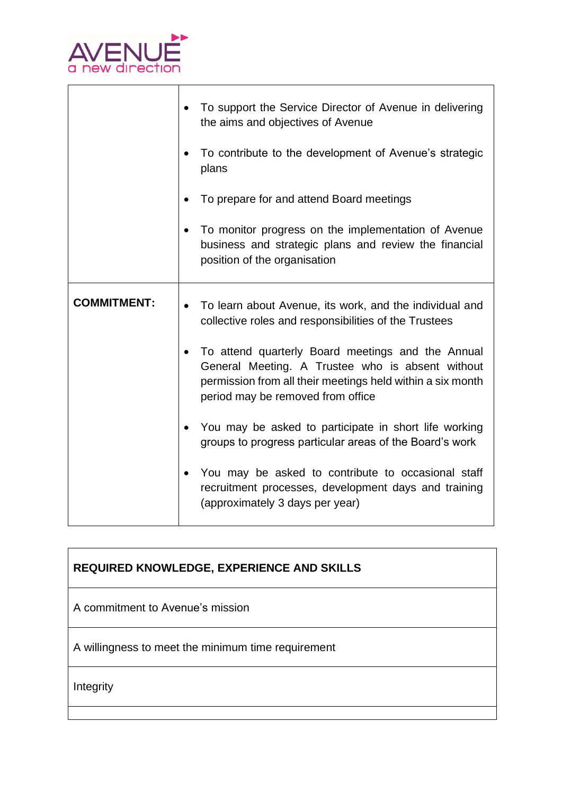

|                    | To support the Service Director of Avenue in delivering<br>the aims and objectives of Avenue                                                                                                             |
|--------------------|----------------------------------------------------------------------------------------------------------------------------------------------------------------------------------------------------------|
|                    | To contribute to the development of Avenue's strategic<br>plans                                                                                                                                          |
|                    | To prepare for and attend Board meetings                                                                                                                                                                 |
|                    | To monitor progress on the implementation of Avenue<br>business and strategic plans and review the financial<br>position of the organisation                                                             |
| <b>COMMITMENT:</b> | To learn about Avenue, its work, and the individual and<br>$\bullet$<br>collective roles and responsibilities of the Trustees                                                                            |
|                    | To attend quarterly Board meetings and the Annual<br>General Meeting. A Trustee who is absent without<br>permission from all their meetings held within a six month<br>period may be removed from office |
|                    | You may be asked to participate in short life working<br>groups to progress particular areas of the Board's work                                                                                         |
|                    | You may be asked to contribute to occasional staff<br>recruitment processes, development days and training<br>(approximately 3 days per year)                                                            |

A commitment to Avenue's mission

A willingness to meet the minimum time requirement

Integrity